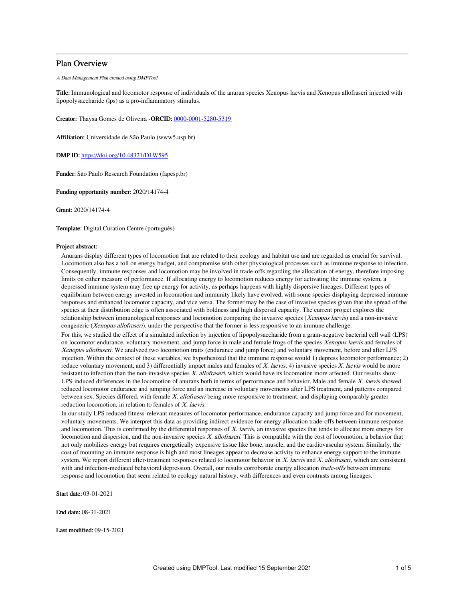### Plan Overview

A Data Management Plan created using DMPTool

Title: Immunological and locomotor response of individuals of the anuran species Xenopus laevis and Xenopus allofraseri injected with lipopolysaccharide (lps) as a pro-inflammatory stimulus.

Creator: Thaysa Gomes de Oliveira -ORCID: [0000-0001-5280-5319](https://orcid.org/0000-0001-5280-5319)

Affiliation: Universidade de São Paulo (www5.usp.br)

DMP ID: <https://doi.org/10.48321/D1W595>

Funder: São Paulo Research Foundation (fapesp.br)

Funding opportunity number: 2020/14174-4

Grant: 2020/14174-4

Template: Digital Curation Centre (português)

### Project abstract:

Anurans display different types of locomotion that are related to their ecology and habitat use and are regarded as crucial for survival. Locomotion also has a toll on energy budget, and compromise with other physiological processes such as immune response to infection. Consequently, immune responses and locomotion may be involved in trade-offs regarding the allocation of energy, therefore imposing limits on either measure of performance. If allocating energy to locomotion reduces energy for activating the immune system, a depressed immune system may free up energy for activity, as perhaps happens with highly dispersive lineages. Different types of equilibrium between energy invested in locomotion and immunity likely have evolved, with some species displaying depressed immune responses and enhanced locomotor capacity, and vice versa. The former may be the case of invasive species given that the spread of the species at their distribution edge is often associated with boldness and high dispersal capacity. The current project explores the relationship between immunological responses and locomotion comparing the invasive species (Xenopus laevis) and a non-invasive congeneric (Xenopus allofraseri), under the perspective that the former is less responsive to an immune challenge.

For this, we studied the effect of a simulated infection by injection of lipopolysaccharide from a gram-negative bacterial cell wall (LPS) on locomotor endurance, voluntary movement, and jump force in male and female frogs of the species Xenopus laevis and females of Xenopus allofraseri. We analyzed two locomotion traits (endurance and jump force) and voluntary movement, before and after LPS injection. Within the context of these variables, we hypothesized that the immune response would 1) depress locomotor performance; 2) reduce voluntary movement, and 3) differentially impact males and females of X. laevis; 4) invasive species X. laevis would be more resistant to infection than the non-invasive species  $X$ . allofraseri, which would have its locomotion more affected. Our results show LPS-induced differences in the locomotion of anurans both in terms of performance and behavior. Male and female X. laevis showed reduced locomotor endurance and jumping force and an increase in voluntary movements after LPS treatment, and patterns compared between sex. Species differed, with female X. allofraseri being more responsive to treatment, and displaying comparably greater reduction locomotion, in relation to females of X. laevis.

In our study LPS reduced fitness-relevant measures of locomotor performance, endurance capacity and jump force and for movement, voluntary movements. We interpret this data as providing indirect evidence for energy allocation trade-offs between immune response and locomotion. This is confirmed by the differential responses of  $X$ . laevis, an invasive species that tends to allocate more energy for locomotion and dispersion, and the non-invasive species X. allofraseri. This is compatible with the cost of locomotion, a behavior that not only mobilizes energy but requires energetically expensive tissue like bone, muscle, and the cardiovascular system. Similarly, the cost of mounting an immune response is high and most lineages appear to decrease activity to enhance energy support to the immune system. We report different after-treatment responses related to locomotor behavior in  $X$ . laevis and  $X$ . allofraseri, which are consistent with and infection-mediated behavioral depression. Overall, our results corroborate energy allocation *trade-offs* between immune response and locomotion that seem related to ecology natural history, with differences and even contrasts among lineages.

Start date: 03-01-2021

End date: 08-31-2021

Last modified: 09-15-2021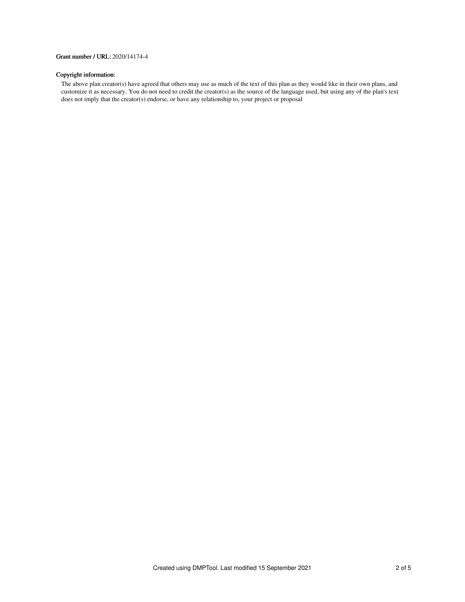### Grant number / URL: 2020/14174-4

# Copyright information:

The above plan creator(s) have agreed that others may use as much of the text of this plan as they would like in their own plans, and customize it as necessary. You do not need to credit the creator(s) as the source of the language used, but using any of the plan's text does not imply that the creator(s) endorse, or have any relationship to, your project or proposal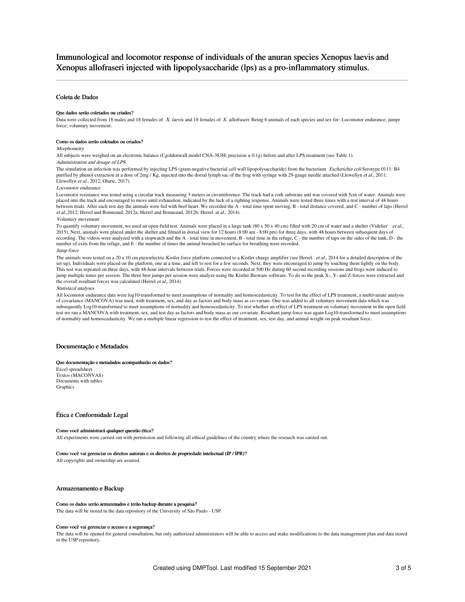Immunological and locomotor response of individuals of the anuran species Xenopus laevis and Xenopus allofraseri injected with lipopolysaccharide (lps) as a pro-inflammatory stimulus.

### Coleta de Dados

#### Que dados serão coletados ou criados?

Data were collected from 18 males and 18 females of X. laevis and 18 females of X. allofraseri. Being 6 animals of each species and sex for: Locomotor endurance; jumpr force; voluntary movement.

#### Como os dados serão coletados ou criados?

### **Morphometry**

All subjects were weighed on an electronic balance (Cgoldenwall model CNA-383H; precision ± 0.1g) before and after LPS treatment (see Table 1). Administration and dosage of LPS

The simulation an infection was performed by injecting LPS (gram-negative bacterial cell wall lipopolysaccharide) from the bacterium Escherichia coli Serotype 0111: B4 purified by phenol extraction at a dose of 2mg / Kg, injected into the dorsal lymph sac of the frog with syringe with 29-gauge needle attached (Llewellyn et al., 2011; Llewellyn et al., 2012; Olarte, 2017).

#### Locomotor endurance

Locomotor resistance was tested using a circular track measuring 3 meters in circumference. The track had a cork substrate and was covered with 5cm of water. Animals were placed into the track and encouraged to move until exhaustion, indicated by the lack of a righting response. Animals were tested three times with a rest interval of 48 hours between trials. After each test day the animals were fed with beef heart. We recorded the A - total time spent moving, B - total distance covered, and C - number of laps (Herrel et al.,2012; Herrel and Bonneaud, 2012a; Herrel and Bonneaud, 2012b; Herrel at al., 2014).

#### Voluntary movement

To quantify voluntary movement, we used an open-field test. Animals were placed in a large tank  $(80 \times 50 \times 40 \text{ cm})$  filled with 20 cm of water and a shelter (Videlier et al., 2015). Next, animals were placed under the shelter and filmed in dorsal view for 12 hours (8:00 am - 8:00 pm) for three days, with 48 hours between subsequent days of recording. The videos were analyzed with a stopwatch and the A - total time in movement, B - total time in the refuge, C - the number of taps on the sides of the tank, D - the number of exits from the refuge, and E - the number of times the animal breached he surface for breathing were recorded.

### Jump force

The animals were tested on a 20 x 10 cm piezoelectric Kistler force platform connected to a Kistler charge amplifier (see Herrel et al., 2014 for a detailed description of the set-up). Individuals were placed on the platform, one at a time, and left to rest for a few seconds. Next, they were encouraged to jump by touching them lightly on the body. This test was repeated on three days, with 48-hour intervals between trials. Forces were recorded at 500 Hz during 60 second recording sessions and frogs were induced to<br>jump multiple times per session. The three best jump the overall resultant forces was calculated (Herrel et al., 2014).

#### Statistical analyses

All locomotor endurance data were log10-transformed to meet assumptions of normality and homoscedasticity. To test for the effect of LPS treatment, a multivariate analysis of covariance (MANCOVA) was used, with treatment, sex, and day as factors and body mass as co-variate. One was added to all voluntary movement data which was subsequently Log10-transformed to meet assumptions of normality and homoscedasticity. To test whether an effect of LPS treatment on voluntary movement in the open field test we ran a MANCOVA with treatment, sex, and test day as factors and body mass as our covariate. Resultant jump force was again Log10-transformed to meet assumptions of normality and homoscedasticity. We ran a multiple linear regression to test the effect of treatment, sex, test day, and animal weight on peak resultant force.

#### Documentação e Metadados

#### Que documentação e metadados acompanharão os dados?

Excel spreadsheet Textos (MACONVAS) Documents with tables **Graphics** 

#### Ética e Conformidade Legal

#### Como você administrará qualquer questão ética?

All experiments were carried out with permission and following all ethical guidelines of the country where the research was carried out.

#### Como você vai gerenciar os direitos autorais e os direitos de propriedade intelectual (IP / IPR)?

All copyrights and ownership are assured.

### Armazenamento e Backup

#### Como os dados serão armazenados e terão backup durante a pesquisa?

The data will be stored in the data repository of the University of São Paulo - USP.

#### Como você vai gerenciar o acesso e a segurança?

The data will be opened for general consultation, but only authorized administrators will be able to access and make modifications to the data management plan and data stored in the USP repository.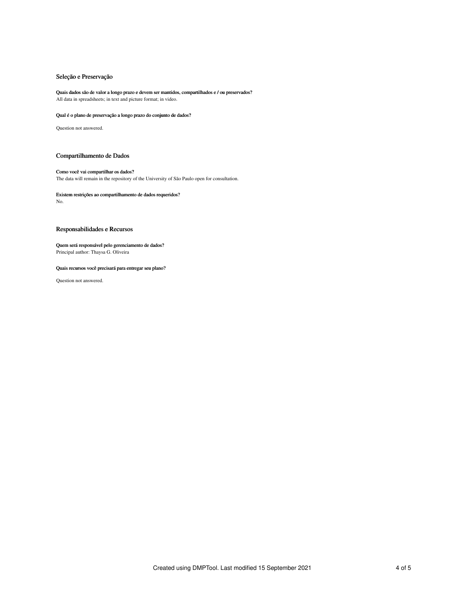### Seleção e Preservação

## Quais dados são de valor a longo prazo e devem ser mantidos, compartilhados e / ou preservados?

All data in spreadsheets; in text and picture format; in video.

### Qual é o plano de preservação a longo prazo do conjunto de dados?

Question not answered.

### Compartilhamento de Dados

### Como você vai compartilhar os dados?

The data will remain in the repository of the University of São Paulo open for consultation.

# Existem restrições ao compartilhamento de dados requeridos?

No.

### Responsabilidades e Recursos

### Quem será responsável pelo gerenciamento de dados? Principal author: Thaysa G. Oliveira

### Quais recursos você precisará para entregar seu plano?

Question not answered.